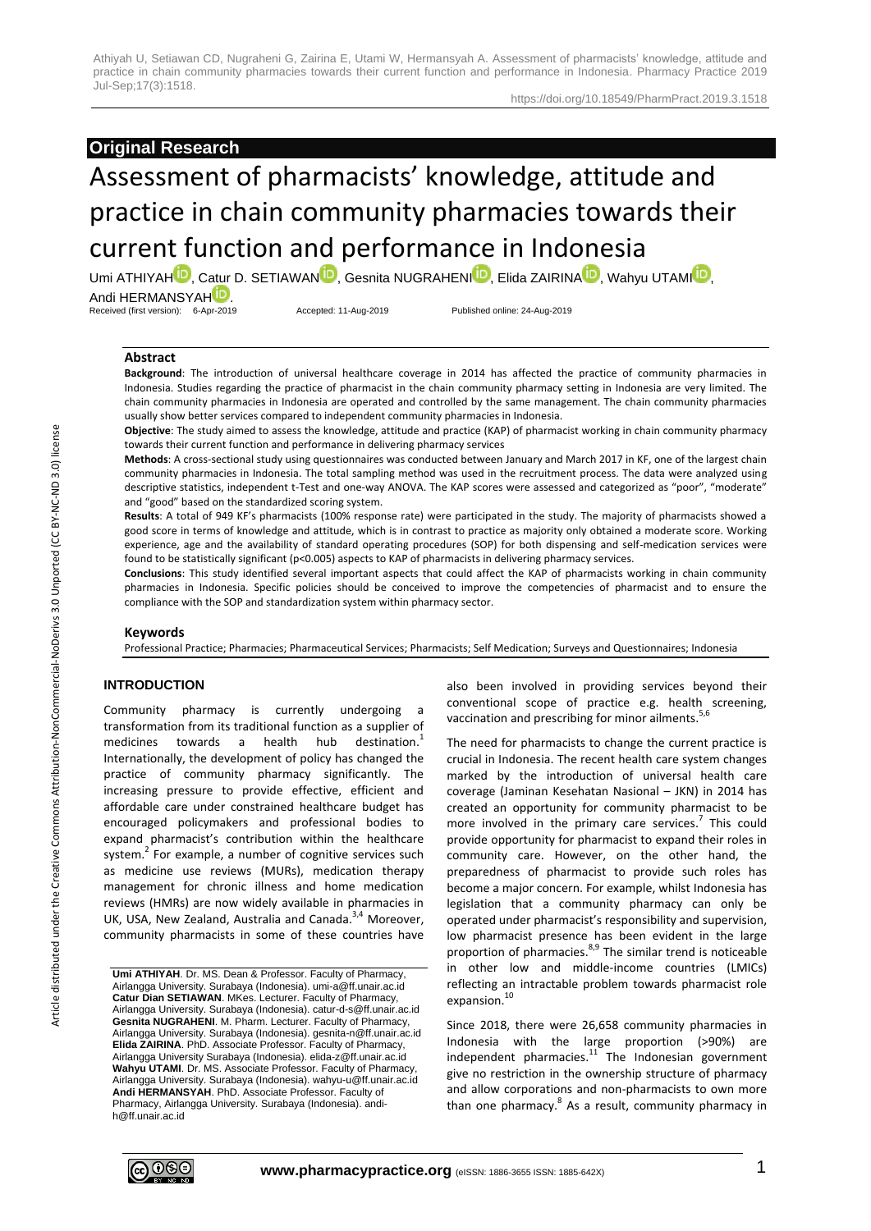#### https://doi.org/10.18549/PharmPract.2019.3.1518

# **Original Research**

**Abstract** 

# Assessment of pharmacists' knowledge, attitude and practice in chain community pharmacies towards their current function and performance in Indonesia

Umi AT[H](http://orcid.org/0000-0003-4818-6847)IYAH<sup>ID</sup>, Catur D. SETIAWA[N](http://orcid.org/0000-0002-3642-9947)<sup>[I](http://orcid.org/0000-0002-8791-8556)D</sup>, Gesnita NUGR[A](http://orcid.org/0000-0003-0845-4640)HENI<sup>D</sup>, Elida ZAIRINA<sup>D</sup>, Wahyu UTA[MI](http://orcid.org/0000-0003-2587-0486)<sup>D</sup>, Andi [H](http://orcid.org/0000-0002-9716-3126)ERMANSYAH<sup>D</sup> Received (first version): 6-Apr-2019 Accepted: 11-Aug-2019 Published online: 24-Aug-2019

**Background**: The introduction of universal healthcare coverage in 2014 has affected the practice of community pharmacies in Indonesia. Studies regarding the practice of pharmacist in the chain community pharmacy setting in Indonesia are very limited. The chain community pharmacies in Indonesia are operated and controlled by the same management. The chain community pharmacies usually show better services compared to independent community pharmacies in Indonesia.

**Objective**: The study aimed to assess the knowledge, attitude and practice (KAP) of pharmacist working in chain community pharmacy towards their current function and performance in delivering pharmacy services

**Methods**: A cross-sectional study using questionnaires was conducted between January and March 2017 in KF, one of the largest chain community pharmacies in Indonesia. The total sampling method was used in the recruitment process. The data were analyzed using descriptive statistics, independent t-Test and one-way ANOVA. The KAP scores were assessed and categorized as "poor", "moderate" and "good" based on the standardized scoring system.

**Results**: A total of 949 KF's pharmacists (100% response rate) were participated in the study. The majority of pharmacists showed a good score in terms of knowledge and attitude, which is in contrast to practice as majority only obtained a moderate score. Working experience, age and the availability of standard operating procedures (SOP) for both dispensing and self-medication services were found to be statistically significant (p<0.005) aspects to KAP of pharmacists in delivering pharmacy services.

**Conclusions**: This study identified several important aspects that could affect the KAP of pharmacists working in chain community pharmacies in Indonesia. Specific policies should be conceived to improve the competencies of pharmacist and to ensure the compliance with the SOP and standardization system within pharmacy sector.

#### **Keywords**

Professional Practice; Pharmacies; Pharmaceutical Services; Pharmacists; Self Medication; Surveys and Questionnaires; Indonesia

### **INTRODUCTION**

Community pharmacy is currently undergoing a transformation from its traditional function as a supplier of medicines towards a health hub destination.<sup>1</sup> Internationally, the development of policy has changed the practice of community pharmacy significantly. The increasing pressure to provide effective, efficient and affordable care under constrained healthcare budget has encouraged policymakers and professional bodies to expand pharmacist's contribution within the healthcare system.<sup>2</sup> For example, a number of cognitive services such as medicine use reviews (MURs), medication therapy management for chronic illness and home medication reviews (HMRs) are now widely available in pharmacies in UK, USA, New Zealand, Australia and Canada.<sup>3,4</sup> Moreover, community pharmacists in some of these countries have

**Umi ATHIYAH**. Dr. MS. Dean & Professor. Faculty of Pharmacy, Airlangga University. Surabaya (Indonesia). umi-a@ff.unair.ac.id **Catur Dian SETIAWAN**. MKes. Lecturer. Faculty of Pharmacy, Airlangga University. Surabaya (Indonesia). catur-d-s@ff.unair.ac.id **Gesnita NUGRAHENI**. M. Pharm. Lecturer. Faculty of Pharmacy, Airlangga University. Surabaya (Indonesia). gesnita-n@ff.unair.ac.id **Elida ZAIRINA**. PhD. Associate Professor. Faculty of Pharmacy, Airlangga University Surabaya (Indonesia). elida-z@ff.unair.ac.id **Wahyu UTAMI**. Dr. MS. Associate Professor. Faculty of Pharmacy, Airlangga University. Surabaya (Indonesia). wahyu-u@ff.unair.ac.id **Andi HERMANSYAH**. PhD. Associate Professor. Faculty of Pharmacy, Airlangga University. Surabaya (Indonesia). andih@ff.unair.ac.id

also been involved in providing services beyond their conventional scope of practice e.g. health screening, vaccination and prescribing for minor ailments.<sup>5,6</sup>

The need for pharmacists to change the current practice is crucial in Indonesia. The recent health care system changes marked by the introduction of universal health care coverage (Jaminan Kesehatan Nasional – JKN) in 2014 has created an opportunity for community pharmacist to be more involved in the primary care services.<sup>7</sup> This could provide opportunity for pharmacist to expand their roles in community care. However, on the other hand, the preparedness of pharmacist to provide such roles has become a major concern. For example, whilst Indonesia has legislation that a community pharmacy can only be operated under pharmacist's responsibility and supervision, low pharmacist presence has been evident in the large proportion of pharmacies.<sup>8,9</sup> The similar trend is noticeable in other low and middle-income countries (LMICs) reflecting an intractable problem towards pharmacist role expansion. 10

Since 2018, there were 26,658 community pharmacies in Indonesia with the large proportion (>90%) are independent pharmacies.<sup>11</sup> The Indonesian government give no restriction in the ownership structure of pharmacy and allow corporations and non-pharmacists to own more than one pharmacy.<sup>8</sup> As a result, community pharmacy in



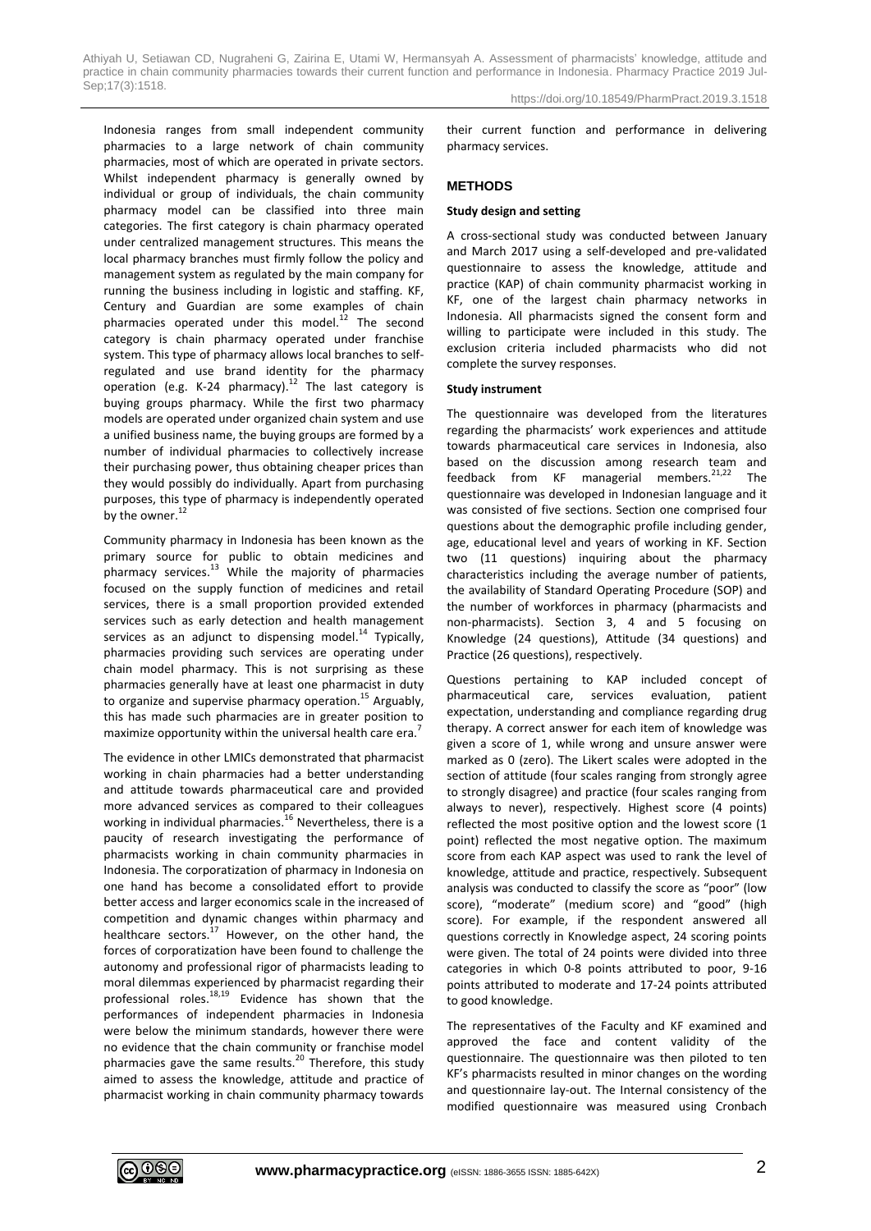Athiyah U, Setiawan CD, Nugraheni G, Zairina E, Utami W, Hermansyah A. Assessment of pharmacists' knowledge, attitude and practice in chain community pharmacies towards their current function and performance in Indonesia. Pharmacy Practice 2019 Jul-Sep;17(3):1518. https://doi.org/10.18549/PharmPract.2019.3.1518

Indonesia ranges from small independent community pharmacies to a large network of chain community pharmacies, most of which are operated in private sectors. Whilst independent pharmacy is generally owned by individual or group of individuals, the chain community pharmacy model can be classified into three main categories. The first category is chain pharmacy operated under centralized management structures. This means the local pharmacy branches must firmly follow the policy and management system as regulated by the main company for running the business including in logistic and staffing. KF, Century and Guardian are some examples of chain pharmacies operated under this model.<sup>12</sup> The second category is chain pharmacy operated under franchise system. This type of pharmacy allows local branches to selfregulated and use brand identity for the pharmacy operation (e.g. K-24 pharmacy).<sup>12</sup> The last category is buying groups pharmacy. While the first two pharmacy models are operated under organized chain system and use a unified business name, the buying groups are formed by a number of individual pharmacies to collectively increase their purchasing power, thus obtaining cheaper prices than they would possibly do individually. Apart from purchasing purposes, this type of pharmacy is independently operated by the owner.<sup>12</sup>

Community pharmacy in Indonesia has been known as the primary source for public to obtain medicines and pharmacy services.<sup>13</sup> While the majority of pharmacies focused on the supply function of medicines and retail services, there is a small proportion provided extended services such as early detection and health management services as an adjunct to dispensing model.<sup>14</sup> Typically, pharmacies providing such services are operating under chain model pharmacy. This is not surprising as these pharmacies generally have at least one pharmacist in duty to organize and supervise pharmacy operation.<sup>15</sup> Arguably, this has made such pharmacies are in greater position to maximize opportunity within the universal health care era.<sup>7</sup>

The evidence in other LMICs demonstrated that pharmacist working in chain pharmacies had a better understanding and attitude towards pharmaceutical care and provided more advanced services as compared to their colleagues working in individual pharmacies.<sup>16</sup> Nevertheless, there is a paucity of research investigating the performance of pharmacists working in chain community pharmacies in Indonesia. The corporatization of pharmacy in Indonesia on one hand has become a consolidated effort to provide better access and larger economics scale in the increased of competition and dynamic changes within pharmacy and healthcare sectors.<sup>17</sup> However, on the other hand, the forces of corporatization have been found to challenge the autonomy and professional rigor of pharmacists leading to moral dilemmas experienced by pharmacist regarding their professional roles.<sup>18,19</sup> Evidence has shown that the performances of independent pharmacies in Indonesia were below the minimum standards, however there were no evidence that the chain community or franchise model pharmacies gave the same results.<sup>20</sup> Therefore, this study aimed to assess the knowledge, attitude and practice of pharmacist working in chain community pharmacy towards their current function and performance in delivering pharmacy services.

### **METHODS**

#### **Study design and setting**

A cross-sectional study was conducted between January and March 2017 using a self-developed and pre-validated questionnaire to assess the knowledge, attitude and practice (KAP) of chain community pharmacist working in KF, one of the largest chain pharmacy networks in Indonesia. All pharmacists signed the consent form and willing to participate were included in this study. The exclusion criteria included pharmacists who did not complete the survey responses.

#### **Study instrument**

The questionnaire was developed from the literatures regarding the pharmacists' work experiences and attitude towards pharmaceutical care services in Indonesia, also based on the discussion among research team and feedback from KF managerial members.<sup>21,22</sup> The questionnaire was developed in Indonesian language and it was consisted of five sections. Section one comprised four questions about the demographic profile including gender, age, educational level and years of working in KF. Section two (11 questions) inquiring about the pharmacy characteristics including the average number of patients, the availability of Standard Operating Procedure (SOP) and the number of workforces in pharmacy (pharmacists and non-pharmacists). Section 3, 4 and 5 focusing on Knowledge (24 questions), Attitude (34 questions) and Practice (26 questions), respectively.

Questions pertaining to KAP included concept of pharmaceutical care, services evaluation, patient expectation, understanding and compliance regarding drug therapy. A correct answer for each item of knowledge was given a score of 1, while wrong and unsure answer were marked as 0 (zero). The Likert scales were adopted in the section of attitude (four scales ranging from strongly agree to strongly disagree) and practice (four scales ranging from always to never), respectively. Highest score (4 points) reflected the most positive option and the lowest score (1 point) reflected the most negative option. The maximum score from each KAP aspect was used to rank the level of knowledge, attitude and practice, respectively. Subsequent analysis was conducted to classify the score as "poor" (low score), "moderate" (medium score) and "good" (high score). For example, if the respondent answered all questions correctly in Knowledge aspect, 24 scoring points were given. The total of 24 points were divided into three categories in which 0-8 points attributed to poor, 9-16 points attributed to moderate and 17-24 points attributed to good knowledge.

The representatives of the Faculty and KF examined and approved the face and content validity of the questionnaire. The questionnaire was then piloted to ten KF's pharmacists resulted in minor changes on the wording and questionnaire lay-out. The Internal consistency of the modified questionnaire was measured using Cronbach

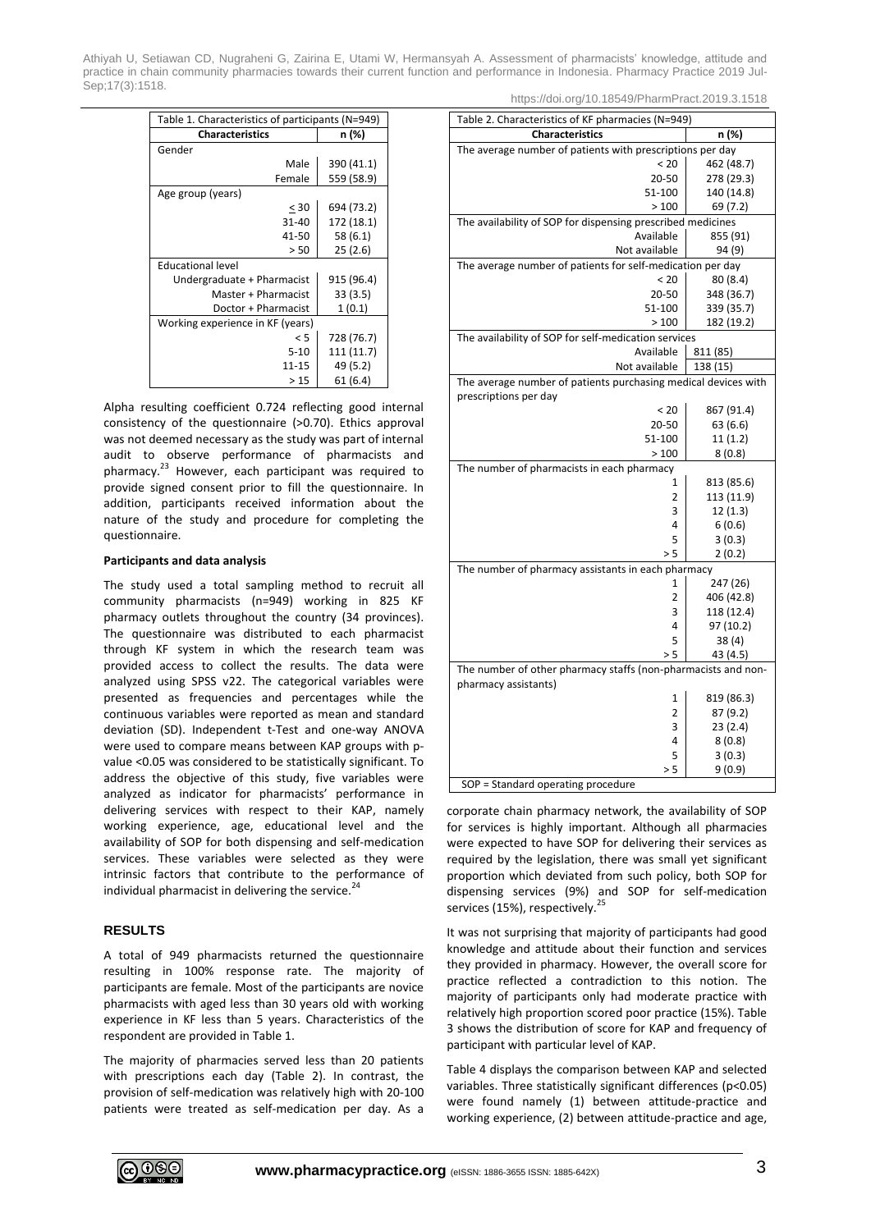Athiyah U, Setiawan CD, Nugraheni G, Zairina E, Utami W, Hermansyah A. Assessment of pharmacists' knowledge, attitude and practice in chain community pharmacies towards their current function and performance in Indonesia. Pharmacy Practice 2019 Jul-Sep;17(3):1518. https://doi.org/10.18549/PharmPract.2019.3.1518

| Table 1. Characteristics of participants (N=949) |            |  |  |  |  |  |
|--------------------------------------------------|------------|--|--|--|--|--|
| <b>Characteristics</b>                           | n (%)      |  |  |  |  |  |
| Gender                                           |            |  |  |  |  |  |
| Male                                             | 390 (41.1) |  |  |  |  |  |
| Female                                           | 559 (58.9) |  |  |  |  |  |
| Age group (years)                                |            |  |  |  |  |  |
| $30$                                             | 694 (73.2) |  |  |  |  |  |
| $31 - 40$                                        | 172 (18.1) |  |  |  |  |  |
| 41-50                                            | 58 (6.1)   |  |  |  |  |  |
| > 50                                             | 25 (2.6)   |  |  |  |  |  |
| <b>Educational level</b>                         |            |  |  |  |  |  |
| Undergraduate + Pharmacist                       | 915 (96.4) |  |  |  |  |  |
| Master + Pharmacist                              | 33(3.5)    |  |  |  |  |  |
| Doctor + Pharmacist                              | 1(0.1)     |  |  |  |  |  |
| Working experience in KF (years)                 |            |  |  |  |  |  |
| $\leq 5$                                         | 728 (76.7) |  |  |  |  |  |
| $5 - 10$                                         | 111 (11.7) |  |  |  |  |  |
| $11 - 15$                                        | 49 (5.2)   |  |  |  |  |  |
| 61 (6.4)<br>>15                                  |            |  |  |  |  |  |

Alpha resulting coefficient 0.724 reflecting good internal consistency of the questionnaire (>0.70). Ethics approval was not deemed necessary as the study was part of internal audit to observe performance of pharmacists and pharmacy. <sup>23</sup> However, each participant was required to provide signed consent prior to fill the questionnaire. In addition, participants received information about the nature of the study and procedure for completing the questionnaire.

#### **Participants and data analysis**

The study used a total sampling method to recruit all community pharmacists (n=949) working in 825 KF pharmacy outlets throughout the country (34 provinces). The questionnaire was distributed to each pharmacist through KF system in which the research team was provided access to collect the results. The data were analyzed using SPSS v22. The categorical variables were presented as frequencies and percentages while the continuous variables were reported as mean and standard deviation (SD). Independent t-Test and one-way ANOVA were used to compare means between KAP groups with pvalue <0.05 was considered to be statistically significant. To address the objective of this study, five variables were analyzed as indicator for pharmacists' performance in delivering services with respect to their KAP, namely working experience, age, educational level and the availability of SOP for both dispensing and self-medication services. These variables were selected as they were intrinsic factors that contribute to the performance of individual pharmacist in delivering the service.<sup>24</sup>

#### **RESULTS**

A total of 949 pharmacists returned the questionnaire resulting in 100% response rate. The majority of participants are female. Most of the participants are novice pharmacists with aged less than 30 years old with working experience in KF less than 5 years. Characteristics of the respondent are provided in Table 1.

The majority of pharmacies served less than 20 patients with prescriptions each day (Table 2). In contrast, the provision of self-medication was relatively high with 20-100 patients were treated as self-medication per day. As a Table 2. Characteristics of KF pharmacies (N=949) **Characteristics n (%)** The average number of patients with prescriptions per day  $< 20$  462 (48.7) 20-50 278 (29.3)  $51-100$  140 (14.8)<br>> 100 69 (7.2) 69 (7.2) The availability of SOP for dispensing prescribed medicines Available 855 (91) Not available 94 (9) The average number of patients for self-medication per day  $< 20$  80 (8.4) 20-50 348 (36.7) 51-100 339 (35.7) > 100 182 (19.2) The availability of SOP for self-medication services Available 811 (85) Not available 138 (15) The average number of patients purchasing medical devices with prescriptions per day  $< 20$  867 (91.4) 20-50 63 (6.6) 51-100 11 (1.2)  $> 100$  8 (0.8) The number of pharmacists in each pharmacy 1 813 (85.6) 2 113 (11.9) 3 12 (1.3) 4 6 (0.6)  $5 \mid 3(0.3)$  $> 5$  2 (0.2) The number of pharmacy assistants in each pharmacy 1 247 (26) 2 406 (42.8) 3 118 (12.4) 4 97 (10.2) 5 38 (4)  $> 5$  43 (4.5) The number of other pharmacy staffs (non-pharmacists and nonpharmacy assistants) 1 819 (86.3)  $\begin{array}{c|c} 2 & 87 & (9.2) \\ 3 & 23 & (2.4) \end{array}$ 3 23 (2.4) 4 8 (0.8) 5 3 (0.3)  $5$  9 (0.9) SOP = Standard operating procedure

corporate chain pharmacy network, the availability of SOP for services is highly important. Although all pharmacies were expected to have SOP for delivering their services as required by the legislation, there was small yet significant proportion which deviated from such policy, both SOP for dispensing services (9%) and SOP for self-medication services (15%), respectively.<sup>25</sup>

It was not surprising that majority of participants had good knowledge and attitude about their function and services they provided in pharmacy. However, the overall score for practice reflected a contradiction to this notion. The majority of participants only had moderate practice with relatively high proportion scored poor practice (15%). Table 3 shows the distribution of score for KAP and frequency of participant with particular level of KAP.

Table 4 displays the comparison between KAP and selected variables. Three statistically significant differences (p<0.05) were found namely (1) between attitude-practice and working experience, (2) between attitude-practice and age,

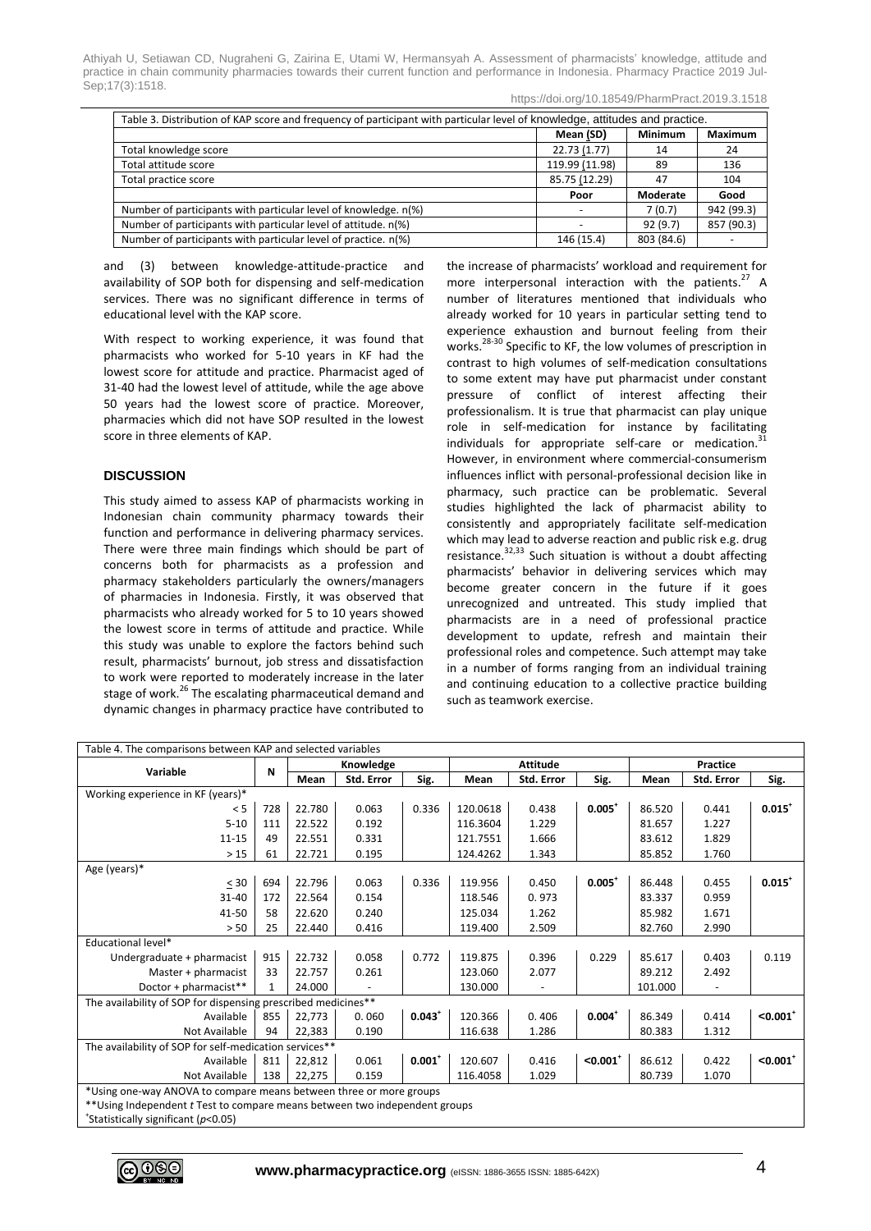Athiyah U, Setiawan CD, Nugraheni G, Zairina E, Utami W, Hermansyah A. Assessment of pharmacists' knowledge, attitude and practice in chain community pharmacies towards their current function and performance in Indonesia. Pharmacy Practice 2019 Jul-Sep;17(3):1518.

|  |  | https://doi.org/10.18549/PharmPract.2019.3.1518 |  |  |
|--|--|-------------------------------------------------|--|--|
|--|--|-------------------------------------------------|--|--|

| Table 3. Distribution of KAP score and frequency of participant with particular level of knowledge, attitudes and practice. |                |                |                |  |  |  |  |
|-----------------------------------------------------------------------------------------------------------------------------|----------------|----------------|----------------|--|--|--|--|
|                                                                                                                             | Mean (SD)      | <b>Minimum</b> | <b>Maximum</b> |  |  |  |  |
| Total knowledge score                                                                                                       | 22.73 (1.77)   | 14             | 24             |  |  |  |  |
| Total attitude score                                                                                                        | 119.99 (11.98) | 89             | 136            |  |  |  |  |
| Total practice score                                                                                                        | 85.75 (12.29)  | 47             | 104            |  |  |  |  |
|                                                                                                                             | Poor           | Moderate       | Good           |  |  |  |  |
| Number of participants with particular level of knowledge. n(%)                                                             |                | 7(0.7)         | 942 (99.3)     |  |  |  |  |
| Number of participants with particular level of attitude. n(%)                                                              |                | 92(9.7)        | 857 (90.3)     |  |  |  |  |
| Number of participants with particular level of practice. n(%)                                                              | 146 (15.4)     | 803 (84.6)     |                |  |  |  |  |

and (3) between knowledge-attitude-practice and availability of SOP both for dispensing and self-medication services. There was no significant difference in terms of educational level with the KAP score.

With respect to working experience, it was found that pharmacists who worked for 5-10 years in KF had the lowest score for attitude and practice. Pharmacist aged of 31-40 had the lowest level of attitude, while the age above 50 years had the lowest score of practice. Moreover, pharmacies which did not have SOP resulted in the lowest score in three elements of KAP.

### **DISCUSSION**

This study aimed to assess KAP of pharmacists working in Indonesian chain community pharmacy towards their function and performance in delivering pharmacy services. There were three main findings which should be part of concerns both for pharmacists as a profession and pharmacy stakeholders particularly the owners/managers of pharmacies in Indonesia. Firstly, it was observed that pharmacists who already worked for 5 to 10 years showed the lowest score in terms of attitude and practice. While this study was unable to explore the factors behind such result, pharmacists' burnout, job stress and dissatisfaction to work were reported to moderately increase in the later stage of work.<sup>26</sup> The escalating pharmaceutical demand and dynamic changes in pharmacy practice have contributed to the increase of pharmacists' workload and requirement for more interpersonal interaction with the patients.<sup>27</sup> A number of literatures mentioned that individuals who already worked for 10 years in particular setting tend to experience exhaustion and burnout feeling from their works.<sup>28-30</sup> Specific to KF, the low volumes of prescription in contrast to high volumes of self-medication consultations to some extent may have put pharmacist under constant pressure of conflict of interest affecting their professionalism. It is true that pharmacist can play unique role in self-medication for instance by facilitating<br>individuals for appropriate self-sare or medication.<sup>31</sup> individuals for appropriate self-care or medication. However, in environment where commercial-consumerism influences inflict with personal-professional decision like in pharmacy, such practice can be problematic. Several studies highlighted the lack of pharmacist ability to consistently and appropriately facilitate self-medication which may lead to adverse reaction and public risk e.g. drug resistance.<sup>32,33</sup> Such situation is without a doubt affecting pharmacists' behavior in delivering services which may become greater concern in the future if it goes unrecognized and untreated. This study implied that pharmacists are in a need of professional practice development to update, refresh and maintain their professional roles and competence. Such attempt may take in a number of forms ranging from an individual training and continuing education to a collective practice building such as teamwork exercise.

| Table 4. The comparisons between KAP and selected variables                |              |           |            |                      |          |                          |                        |         |            |                        |
|----------------------------------------------------------------------------|--------------|-----------|------------|----------------------|----------|--------------------------|------------------------|---------|------------|------------------------|
|                                                                            | N            | Knowledge |            | <b>Attitude</b>      |          |                          | Practice               |         |            |                        |
| Variable                                                                   |              | Mean      | Std. Error | Sig.                 | Mean     | Std. Error               | Sig.                   | Mean    | Std. Error | Sig.                   |
| Working experience in KF (years)*                                          |              |           |            |                      |          |                          |                        |         |            |                        |
| < 5                                                                        | 728          | 22.780    | 0.063      | 0.336                | 120.0618 | 0.438                    | $0.005+$               | 86.520  | 0.441      | $0.015^{+}$            |
| $5 - 10$                                                                   | 111          | 22.522    | 0.192      |                      | 116.3604 | 1.229                    |                        | 81.657  | 1.227      |                        |
| $11 - 15$                                                                  | 49           | 22.551    | 0.331      |                      | 121.7551 | 1.666                    |                        | 83.612  | 1.829      |                        |
| $>15$                                                                      | 61           | 22.721    | 0.195      |                      | 124.4262 | 1.343                    |                        | 85.852  | 1.760      |                        |
| Age (years)*                                                               |              |           |            |                      |          |                          |                        |         |            |                        |
| $\leq 30$                                                                  | 694          | 22.796    | 0.063      | 0.336                | 119.956  | 0.450                    | $0.005+$               | 86.448  | 0.455      | $0.015^{+}$            |
| 31-40                                                                      | 172          | 22.564    | 0.154      |                      | 118.546  | 0.973                    |                        | 83.337  | 0.959      |                        |
| 41-50                                                                      | 58           | 22.620    | 0.240      |                      | 125.034  | 1.262                    |                        | 85.982  | 1.671      |                        |
| > 50                                                                       | 25           | 22.440    | 0.416      |                      | 119.400  | 2.509                    |                        | 82.760  | 2.990      |                        |
| Educational level*                                                         |              |           |            |                      |          |                          |                        |         |            |                        |
| Undergraduate + pharmacist                                                 | 915          | 22.732    | 0.058      | 0.772                | 119.875  | 0.396                    | 0.229                  | 85.617  | 0.403      | 0.119                  |
| Master + pharmacist                                                        | 33           | 22.757    | 0.261      |                      | 123.060  | 2.077                    |                        | 89.212  | 2.492      |                        |
| Doctor + pharmacist**                                                      | $\mathbf{1}$ | 24.000    |            |                      | 130.000  | $\overline{\phantom{a}}$ |                        | 101.000 |            |                        |
| The availability of SOP for dispensing prescribed medicines**              |              |           |            |                      |          |                          |                        |         |            |                        |
| Available                                                                  | 855          | 22,773    | 0.060      | $0.043^{+}$          | 120.366  | 0.406                    | $0.004+$               | 86.349  | 0.414      | $< 0.001$ <sup>+</sup> |
| Not Available                                                              | 94           | 22,383    | 0.190      |                      | 116.638  | 1.286                    |                        | 80.383  | 1.312      |                        |
| The availability of SOP for self-medication services**                     |              |           |            |                      |          |                          |                        |         |            |                        |
| Available                                                                  | 811          | 22,812    | 0.061      | $0.001$ <sup>+</sup> | 120.607  | 0.416                    | $< 0.001$ <sup>+</sup> | 86.612  | 0.422      | $< 0.001$ <sup>+</sup> |
| Not Available                                                              | 138          | 22,275    | 0.159      |                      | 116.4058 | 1.029                    |                        | 80.739  | 1.070      |                        |
| *Using one-way ANOVA to compare means between three or more groups         |              |           |            |                      |          |                          |                        |         |            |                        |
| **Using Independent t Test to compare means between two independent groups |              |           |            |                      |          |                          |                        |         |            |                        |

+ Statistically significant (*p*<0.05)

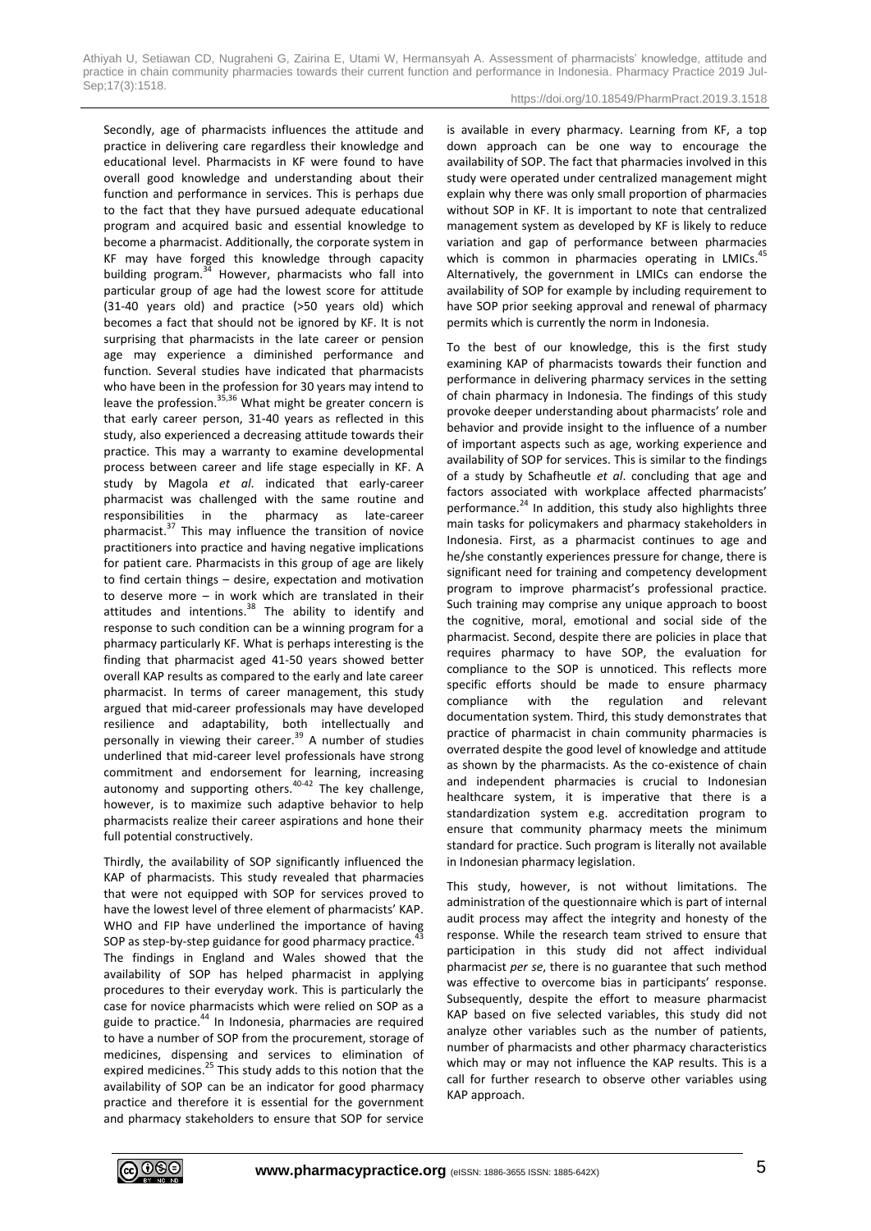Athiyah U, Setiawan CD, Nugraheni G, Zairina E, Utami W, Hermansyah A. Assessment of pharmacists' knowledge, attitude and practice in chain community pharmacies towards their current function and performance in Indonesia. Pharmacy Practice 2019 Jul-Sep;17(3):1518.

https://doi.org/10.18549/PharmPract.2019.3.1518

Secondly, age of pharmacists influences the attitude and practice in delivering care regardless their knowledge and educational level. Pharmacists in KF were found to have overall good knowledge and understanding about their function and performance in services. This is perhaps due to the fact that they have pursued adequate educational program and acquired basic and essential knowledge to become a pharmacist. Additionally, the corporate system in KF may have forged this knowledge through capacity building program.<sup>34</sup> However, pharmacists who fall into particular group of age had the lowest score for attitude (31-40 years old) and practice (>50 years old) which becomes a fact that should not be ignored by KF. It is not surprising that pharmacists in the late career or pension age may experience a diminished performance and function. Several studies have indicated that pharmacists who have been in the profession for 30 years may intend to leave the profession.<sup>35,36</sup> What might be greater concern is that early career person, 31-40 years as reflected in this study, also experienced a decreasing attitude towards their practice. This may a warranty to examine developmental process between career and life stage especially in KF. A study by Magola *et al*. indicated that early-career pharmacist was challenged with the same routine and responsibilities in the pharmacy as late-career pharmacist.<sup>37</sup> This may influence the transition of novice practitioners into practice and having negative implications for patient care. Pharmacists in this group of age are likely to find certain things – desire, expectation and motivation to deserve more – in work which are translated in their attitudes and intentions.<sup>38</sup> The ability to identify and response to such condition can be a winning program for a pharmacy particularly KF. What is perhaps interesting is the finding that pharmacist aged 41-50 years showed better overall KAP results as compared to the early and late career pharmacist. In terms of career management, this study argued that mid-career professionals may have developed resilience and adaptability, both intellectually and personally in viewing their career.<sup>39</sup> A number of studies underlined that mid-career level professionals have strong commitment and endorsement for learning, increasing autonomy and supporting others.<sup>40-42</sup> The key challenge, however, is to maximize such adaptive behavior to help pharmacists realize their career aspirations and hone their full potential constructively.

Thirdly, the availability of SOP significantly influenced the KAP of pharmacists. This study revealed that pharmacies that were not equipped with SOP for services proved to have the lowest level of three element of pharmacists' KAP. WHO and FIP have underlined the importance of having<br>SOP as stap by stap guidance for good pharmacy practice.<sup>43</sup> SOP as step-by-step guidance for good pharmacy practice. The findings in England and Wales showed that the availability of SOP has helped pharmacist in applying procedures to their everyday work. This is particularly the case for novice pharmacists which were relied on SOP as a guide to practice.<sup>44</sup> In Indonesia, pharmacies are required to have a number of SOP from the procurement, storage of medicines, dispensing and services to elimination of expired medicines.<sup>25</sup> This study adds to this notion that the availability of SOP can be an indicator for good pharmacy practice and therefore it is essential for the government and pharmacy stakeholders to ensure that SOP for service is available in every pharmacy. Learning from KF, a top down approach can be one way to encourage the availability of SOP. The fact that pharmacies involved in this study were operated under centralized management might explain why there was only small proportion of pharmacies without SOP in KF. It is important to note that centralized management system as developed by KF is likely to reduce variation and gap of performance between pharmacies which is common in pharmacies operating in LMICs.<sup>45</sup> Alternatively, the government in LMICs can endorse the availability of SOP for example by including requirement to have SOP prior seeking approval and renewal of pharmacy permits which is currently the norm in Indonesia.

To the best of our knowledge, this is the first study examining KAP of pharmacists towards their function and performance in delivering pharmacy services in the setting of chain pharmacy in Indonesia. The findings of this study provoke deeper understanding about pharmacists' role and behavior and provide insight to the influence of a number of important aspects such as age, working experience and availability of SOP for services. This is similar to the findings of a study by Schafheutle *et al*. concluding that age and factors associated with workplace affected pharmacists' performance.<sup>24</sup> In addition, this study also highlights three main tasks for policymakers and pharmacy stakeholders in Indonesia. First, as a pharmacist continues to age and he/she constantly experiences pressure for change, there is significant need for training and competency development program to improve pharmacist's professional practice. Such training may comprise any unique approach to boost the cognitive, moral, emotional and social side of the pharmacist. Second, despite there are policies in place that requires pharmacy to have SOP, the evaluation for compliance to the SOP is unnoticed. This reflects more specific efforts should be made to ensure pharmacy compliance with the regulation and relevant documentation system. Third, this study demonstrates that practice of pharmacist in chain community pharmacies is overrated despite the good level of knowledge and attitude as shown by the pharmacists. As the co-existence of chain and independent pharmacies is crucial to Indonesian healthcare system, it is imperative that there is a standardization system e.g. accreditation program to ensure that community pharmacy meets the minimum standard for practice. Such program is literally not available in Indonesian pharmacy legislation.

This study, however, is not without limitations. The administration of the questionnaire which is part of internal audit process may affect the integrity and honesty of the response. While the research team strived to ensure that participation in this study did not affect individual pharmacist *per se*, there is no guarantee that such method was effective to overcome bias in participants' response. Subsequently, despite the effort to measure pharmacist KAP based on five selected variables, this study did not analyze other variables such as the number of patients, number of pharmacists and other pharmacy characteristics which may or may not influence the KAP results. This is a call for further research to observe other variables using KAP approach.

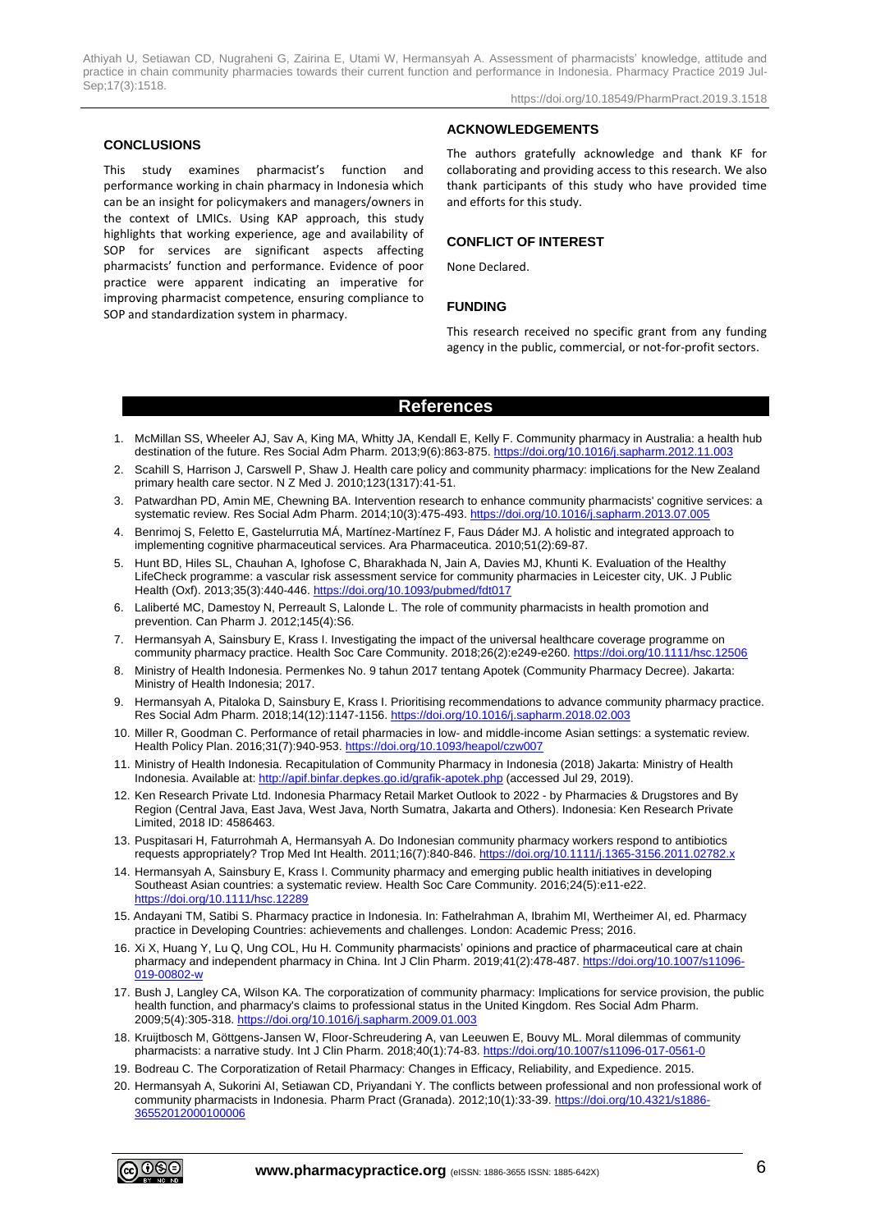Athiyah U, Setiawan CD, Nugraheni G, Zairina E, Utami W, Hermansyah A. Assessment of pharmacists' knowledge, attitude and practice in chain community pharmacies towards their current function and performance in Indonesia. Pharmacy Practice 2019 Jul-Sep;17(3):1518.

#### **CONCLUSIONS**

This study examines pharmacist's function and performance working in chain pharmacy in Indonesia which can be an insight for policymakers and managers/owners in the context of LMICs. Using KAP approach, this study highlights that working experience, age and availability of SOP for services are significant aspects affecting pharmacists' function and performance. Evidence of poor practice were apparent indicating an imperative for improving pharmacist competence, ensuring compliance to SOP and standardization system in pharmacy.

#### **ACKNOWLEDGEMENTS**

The authors gratefully acknowledge and thank KF for collaborating and providing access to this research. We also thank participants of this study who have provided time and efforts for this study.

#### **CONFLICT OF INTEREST**

None Declared.

#### **FUNDING**

This research received no specific grant from any funding agency in the public, commercial, or not-for-profit sectors.

## **References**

- 1. McMillan SS, Wheeler AJ, Sav A, King MA, Whitty JA, Kendall E, Kelly F. Community pharmacy in Australia: a health hub destination of the future. Res Social Adm Pharm. 2013;9(6):863-875[. https://doi.org/10.1016/j.sapharm.2012.11.003](https://doi.org/10.1016/j.sapharm.2012.11.003)
- 2. Scahill S, Harrison J, Carswell P, Shaw J. Health care policy and community pharmacy: implications for the New Zealand primary health care sector. N Z Med J. 2010;123(1317):41-51.
- 3. Patwardhan PD, Amin ME, Chewning BA. Intervention research to enhance community pharmacists' cognitive services: a systematic review. Res Social Adm Pharm. 2014;10(3):475-493[. https://doi.org/10.1016/j.sapharm.2013.07.005](https://doi.org/10.1016/j.sapharm.2013.07.005)
- 4. Benrimoj S, Feletto E, Gastelurrutia MÁ, Martínez-Martínez F, Faus Dáder MJ. A holistic and integrated approach to implementing cognitive pharmaceutical services. Ara Pharmaceutica. 2010;51(2):69-87.
- 5. Hunt BD, Hiles SL, Chauhan A, Ighofose C, Bharakhada N, Jain A, Davies MJ, Khunti K. Evaluation of the Healthy LifeCheck programme: a vascular risk assessment service for community pharmacies in Leicester city, UK. J Public Health (Oxf). 2013;35(3):440-446[. https://doi.org/10.1093/pubmed/fdt017](https://doi.org/10.1093/pubmed/fdt017)
- 6. Laliberté MC, Damestoy N, Perreault S, Lalonde L. The role of community pharmacists in health promotion and prevention. Can Pharm J. 2012;145(4):S6.
- 7. Hermansyah A, Sainsbury E, Krass I. Investigating the impact of the universal healthcare coverage programme on community pharmacy practice. Health Soc Care Community. 2018;26(2):e249-e260[. https://doi.org/10.1111/hsc.12506](https://doi.org/10.1111/hsc.12506)
- 8. Ministry of Health Indonesia. Permenkes No. 9 tahun 2017 tentang Apotek (Community Pharmacy Decree). Jakarta: Ministry of Health Indonesia; 2017.
- 9. Hermansyah A, Pitaloka D, Sainsbury E, Krass I. Prioritising recommendations to advance community pharmacy practice. Res Social Adm Pharm. 2018;14(12):1147-1156[. https://doi.org/10.1016/j.sapharm.2018.02.003](https://doi.org/10.1016/j.sapharm.2018.02.003)
- 10. Miller R, Goodman C. Performance of retail pharmacies in low- and middle-income Asian settings: a systematic review. Health Policy Plan. 2016;31(7):940-953.<https://doi.org/10.1093/heapol/czw007>
- 11. Ministry of Health Indonesia. Recapitulation of Community Pharmacy in Indonesia (2018) Jakarta: Ministry of Health Indonesia. Available at:<http://apif.binfar.depkes.go.id/grafik-apotek.php> (accessed Jul 29, 2019).
- 12. Ken Research Private Ltd. Indonesia Pharmacy Retail Market Outlook to 2022 by Pharmacies & Drugstores and By Region (Central Java, East Java, West Java, North Sumatra, Jakarta and Others). Indonesia: Ken Research Private Limited, 2018 ID: 4586463.
- 13. Puspitasari H, Faturrohmah A, Hermansyah A. Do Indonesian community pharmacy workers respond to antibiotics requests appropriately? Trop Med Int Health. 2011;16(7):840-846.<https://doi.org/10.1111/j.1365-3156.2011.02782.x>
- 14. Hermansyah A, Sainsbury E, Krass I. Community pharmacy and emerging public health initiatives in developing Southeast Asian countries: a systematic review. Health Soc Care Community. 2016;24(5):e11-e22. <https://doi.org/10.1111/hsc.12289>
- 15. Andayani TM, Satibi S. Pharmacy practice in Indonesia. In: Fathelrahman A, Ibrahim MI, Wertheimer AI, ed. Pharmacy practice in Developing Countries: achievements and challenges. London: Academic Press; 2016.
- 16. Xi X, Huang Y, Lu Q, Ung COL, Hu H. Community pharmacists' opinions and practice of pharmaceutical care at chain pharmacy and independent pharmacy in China. Int J Clin Pharm. 2019;41(2):478-487[. https://doi.org/10.1007/s11096-](https://doi.org/10.1007/s11096-019-00802-w) [019-00802-w](https://doi.org/10.1007/s11096-019-00802-w)
- 17. Bush J, Langley CA, Wilson KA. The corporatization of community pharmacy: Implications for service provision, the public health function, and pharmacy's claims to professional status in the United Kingdom. Res Social Adm Pharm. 2009;5(4):305-318[. https://doi.org/10.1016/j.sapharm.2009.01.003](https://doi.org/10.1016/j.sapharm.2009.01.003)
- 18. Kruijtbosch M, Göttgens-Jansen W, Floor-Schreudering A, van Leeuwen E, Bouvy ML. Moral dilemmas of community pharmacists: a narrative study. Int J Clin Pharm. 2018;40(1):74-83[. https://doi.org/10.1007/s11096-017-0561-0](https://doi.org/10.1007/s11096-017-0561-0)
- 19. Bodreau C. The Corporatization of Retail Pharmacy: Changes in Efficacy, Reliability, and Expedience. 2015.
- 20. Hermansyah A, Sukorini AI, Setiawan CD, Priyandani Y. The conflicts between professional and non professional work of community pharmacists in Indonesia. Pharm Pract (Granada). 2012;10(1):33-39[. https://doi.org/10.4321/s1886-](https://doi.org/10.4321/s1886-36552012000100006) [36552012000100006](https://doi.org/10.4321/s1886-36552012000100006)